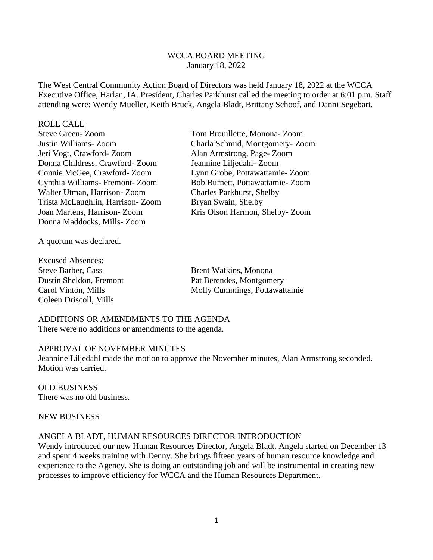### WCCA BOARD MEETING January 18, 2022

The West Central Community Action Board of Directors was held January 18, 2022 at the WCCA Executive Office, Harlan, IA. President, Charles Parkhurst called the meeting to order at 6:01 p.m. Staff attending were: Wendy Mueller, Keith Bruck, Angela Bladt, Brittany Schoof, and Danni Segebart.

#### ROLL CALL

| <b>Steve Green-Zoom</b>          |
|----------------------------------|
| Justin Williams-Zoom             |
| Jeri Vogt, Crawford-Zoom         |
| Donna Childress, Crawford-Zoom   |
| Connie McGee, Crawford-Zoom      |
| Cynthia Williams- Fremont-Zoom   |
| Walter Utman, Harrison-Zoom      |
| Trista McLaughlin, Harrison-Zoom |
| Joan Martens, Harrison-Zoom      |
| Donna Maddocks, Mills-Zoom       |

Tom Brouillette, Monona- Zoom Charla Schmid, Montgomery- Zoom Alan Armstrong, Page- Zoom Jeannine Liljedahl- Zoom Lynn Grobe, Pottawattamie- Zoom Bob Burnett, Pottawattamie- Zoom Charles Parkhurst, Shelby Bryan Swain, Shelby Kris Olson Harmon, Shelby- Zoom

A quorum was declared.

Excused Absences: Steve Barber, Cass Brent Watkins, Monona Coleen Driscoll, Mills

Dustin Sheldon, Fremont Pat Berendes, Montgomery Carol Vinton, Mills Molly Cummings, Pottawattamie

#### ADDITIONS OR AMENDMENTS TO THE AGENDA There were no additions or amendments to the agenda.

#### APPROVAL OF NOVEMBER MINUTES

Jeannine Liljedahl made the motion to approve the November minutes, Alan Armstrong seconded. Motion was carried.

OLD BUSINESS There was no old business.

#### NEW BUSINESS

#### ANGELA BLADT, HUMAN RESOURCES DIRECTOR INTRODUCTION

Wendy introduced our new Human Resources Director, Angela Bladt. Angela started on December 13 and spent 4 weeks training with Denny. She brings fifteen years of human resource knowledge and experience to the Agency. She is doing an outstanding job and will be instrumental in creating new processes to improve efficiency for WCCA and the Human Resources Department.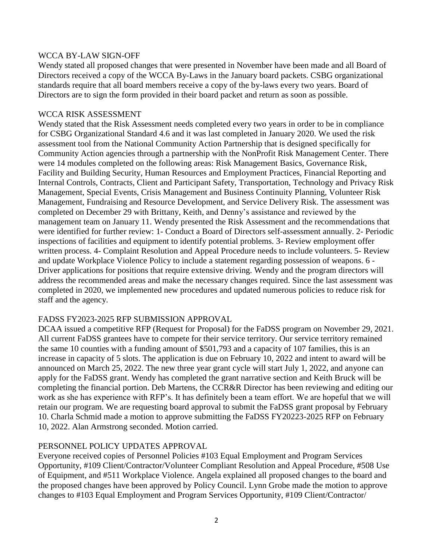## WCCA BY-LAW SIGN-OFF

Wendy stated all proposed changes that were presented in November have been made and all Board of Directors received a copy of the WCCA By-Laws in the January board packets. CSBG organizational standards require that all board members receive a copy of the by-laws every two years. Board of Directors are to sign the form provided in their board packet and return as soon as possible.

## WCCA RISK ASSESSMENT

Wendy stated that the Risk Assessment needs completed every two years in order to be in compliance for CSBG Organizational Standard 4.6 and it was last completed in January 2020. We used the risk assessment tool from the National Community Action Partnership that is designed specifically for Community Action agencies through a partnership with the NonProfit Risk Management Center. There were 14 modules completed on the following areas: Risk Management Basics, Governance Risk, Facility and Building Security, Human Resources and Employment Practices, Financial Reporting and Internal Controls, Contracts, Client and Participant Safety, Transportation, Technology and Privacy Risk Management, Special Events, Crisis Management and Business Continuity Planning, Volunteer Risk Management, Fundraising and Resource Development, and Service Delivery Risk. The assessment was completed on December 29 with Brittany, Keith, and Denny's assistance and reviewed by the management team on January 11. Wendy presented the Risk Assessment and the recommendations that were identified for further review: 1- Conduct a Board of Directors self-assessment annually. 2- Periodic inspections of facilities and equipment to identify potential problems. 3- Review employment offer written process. 4- Complaint Resolution and Appeal Procedure needs to include volunteers. 5- Review and update Workplace Violence Policy to include a statement regarding possession of weapons. 6 - Driver applications for positions that require extensive driving. Wendy and the program directors will address the recommended areas and make the necessary changes required. Since the last assessment was completed in 2020, we implemented new procedures and updated numerous policies to reduce risk for staff and the agency.

### FADSS FY2023-2025 RFP SUBMISSION APPROVAL

DCAA issued a competitive RFP (Request for Proposal) for the FaDSS program on November 29, 2021. All current FaDSS grantees have to compete for their service territory. Our service territory remained the same 10 counties with a funding amount of \$501,793 and a capacity of 107 families, this is an increase in capacity of 5 slots. The application is due on February 10, 2022 and intent to award will be announced on March 25, 2022. The new three year grant cycle will start July 1, 2022, and anyone can apply for the FaDSS grant. Wendy has completed the grant narrative section and Keith Bruck will be completing the financial portion. Deb Martens, the CCR&R Director has been reviewing and editing our work as she has experience with RFP's. It has definitely been a team effort. We are hopeful that we will retain our program. We are requesting board approval to submit the FaDSS grant proposal by February 10. Charla Schmid made a motion to approve submitting the FaDSS FY20223-2025 RFP on February 10, 2022. Alan Armstrong seconded. Motion carried.

### PERSONNEL POLICY UPDATES APPROVAL

Everyone received copies of Personnel Policies #103 Equal Employment and Program Services Opportunity, #109 Client/Contractor/Volunteer Compliant Resolution and Appeal Procedure, #508 Use of Equipment, and #511 Workplace Violence. Angela explained all proposed changes to the board and the proposed changes have been approved by Policy Council. Lynn Grobe made the motion to approve changes to #103 Equal Employment and Program Services Opportunity, #109 Client/Contractor/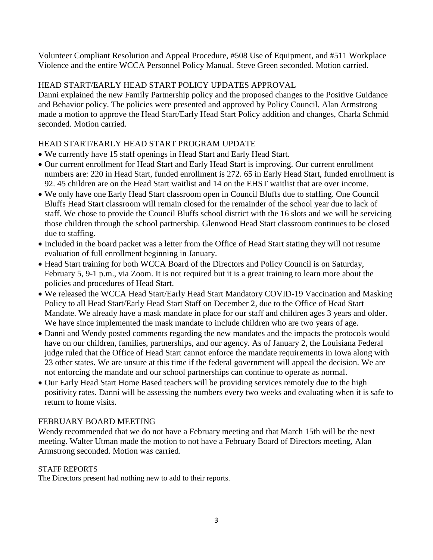Volunteer Compliant Resolution and Appeal Procedure, #508 Use of Equipment, and #511 Workplace Violence and the entire WCCA Personnel Policy Manual. Steve Green seconded. Motion carried.

# HEAD START/EARLY HEAD START POLICY UPDATES APPROVAL

Danni explained the new Family Partnership policy and the proposed changes to the Positive Guidance and Behavior policy. The policies were presented and approved by Policy Council. Alan Armstrong made a motion to approve the Head Start/Early Head Start Policy addition and changes, Charla Schmid seconded. Motion carried.

# HEAD START/EARLY HEAD START PROGRAM UPDATE

- We currently have 15 staff openings in Head Start and Early Head Start.
- Our current enrollment for Head Start and Early Head Start is improving. Our current enrollment numbers are: 220 in Head Start, funded enrollment is 272. 65 in Early Head Start, funded enrollment is 92. 45 children are on the Head Start waitlist and 14 on the EHST waitlist that are over income.
- We only have one Early Head Start classroom open in Council Bluffs due to staffing. One Council Bluffs Head Start classroom will remain closed for the remainder of the school year due to lack of staff. We chose to provide the Council Bluffs school district with the 16 slots and we will be servicing those children through the school partnership. Glenwood Head Start classroom continues to be closed due to staffing.
- Included in the board packet was a letter from the Office of Head Start stating they will not resume evaluation of full enrollment beginning in January.
- Head Start training for both WCCA Board of the Directors and Policy Council is on Saturday, February 5, 9-1 p.m., via Zoom. It is not required but it is a great training to learn more about the policies and procedures of Head Start.
- We released the WCCA Head Start/Early Head Start Mandatory COVID-19 Vaccination and Masking Policy to all Head Start/Early Head Start Staff on December 2, due to the Office of Head Start Mandate. We already have a mask mandate in place for our staff and children ages 3 years and older. We have since implemented the mask mandate to include children who are two years of age.
- Danni and Wendy posted comments regarding the new mandates and the impacts the protocols would have on our children, families, partnerships, and our agency. As of January 2, the Louisiana Federal judge ruled that the Office of Head Start cannot enforce the mandate requirements in Iowa along with 23 other states. We are unsure at this time if the federal government will appeal the decision. We are not enforcing the mandate and our school partnerships can continue to operate as normal.
- Our Early Head Start Home Based teachers will be providing services remotely due to the high positivity rates. Danni will be assessing the numbers every two weeks and evaluating when it is safe to return to home visits.

### FEBRUARY BOARD MEETING

Wendy recommended that we do not have a February meeting and that March 15th will be the next meeting. Walter Utman made the motion to not have a February Board of Directors meeting, Alan Armstrong seconded. Motion was carried.

#### STAFF REPORTS

The Directors present had nothing new to add to their reports.